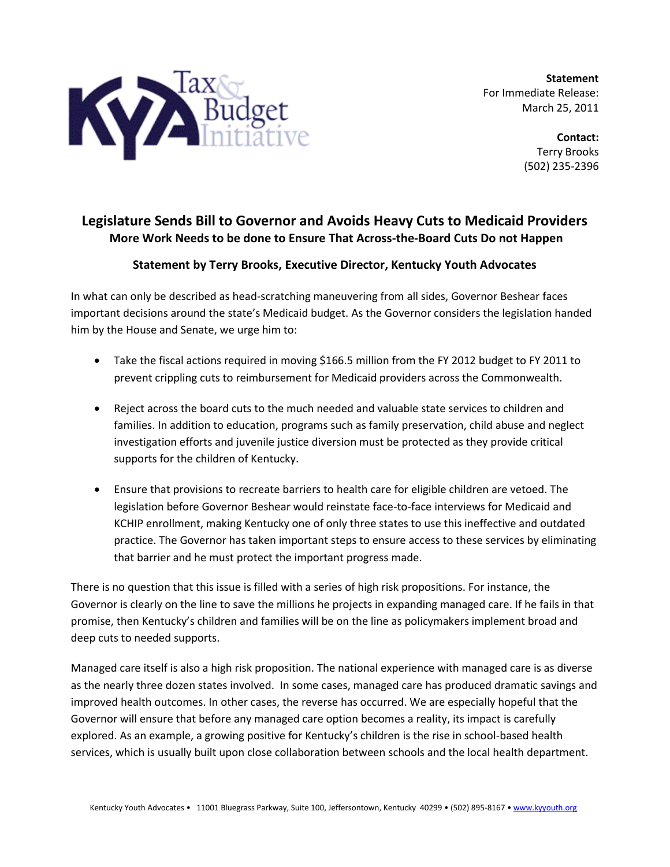

**Statement** For Immediate Release: March 25, 2011

> **Contact:** Terry Brooks (502) 235-2396

## **Legislature Sends Bill to Governor and Avoids Heavy Cuts to Medicaid Providers More Work Needs to be done to Ensure That Across-the-Board Cuts Do not Happen**

## **Statement by Terry Brooks, Executive Director, Kentucky Youth Advocates**

In what can only be described as head-scratching maneuvering from all sides, Governor Beshear faces important decisions around the state's Medicaid budget. As the Governor considers the legislation handed him by the House and Senate, we urge him to:

- Take the fiscal actions required in moving \$166.5 million from the FY 2012 budget to FY 2011 to prevent crippling cuts to reimbursement for Medicaid providers across the Commonwealth.
- Reject across the board cuts to the much needed and valuable state services to children and families. In addition to education, programs such as family preservation, child abuse and neglect investigation efforts and juvenile justice diversion must be protected as they provide critical supports for the children of Kentucky.
- Ensure that provisions to recreate barriers to health care for eligible children are vetoed. The legislation before Governor Beshear would reinstate face-to-face interviews for Medicaid and KCHIP enrollment, making Kentucky one of only three states to use this ineffective and outdated practice. The Governor has taken important steps to ensure access to these services by eliminating that barrier and he must protect the important progress made.

There is no question that this issue is filled with a series of high risk propositions. For instance, the Governor is clearly on the line to save the millions he projects in expanding managed care. If he fails in that promise, then Kentucky's children and families will be on the line as policymakers implement broad and deep cuts to needed supports.

Managed care itself is also a high risk proposition. The national experience with managed care is as diverse as the nearly three dozen states involved. In some cases, managed care has produced dramatic savings and improved health outcomes. In other cases, the reverse has occurred. We are especially hopeful that the Governor will ensure that before any managed care option becomes a reality, its impact is carefully explored. As an example, a growing positive for Kentucky's children is the rise in school-based health services, which is usually built upon close collaboration between schools and the local health department.